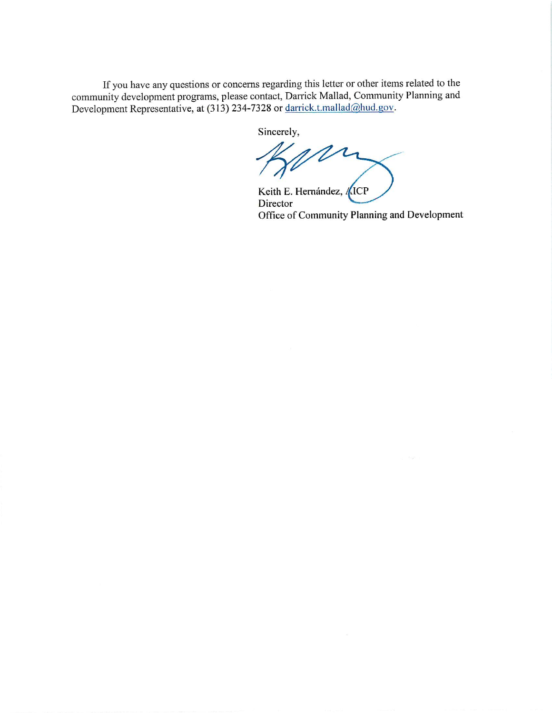If you have any questions or concerns regarding this letter or other items related to the community development programs, please contact, Darrick Mallad, Community Planning and Development Representative, at (313) 234-7328 or darrick.t.mallad@hud.gov.

Sincerely,

Keith E. Hernández, /(ICP Director Office of Community Planning and Development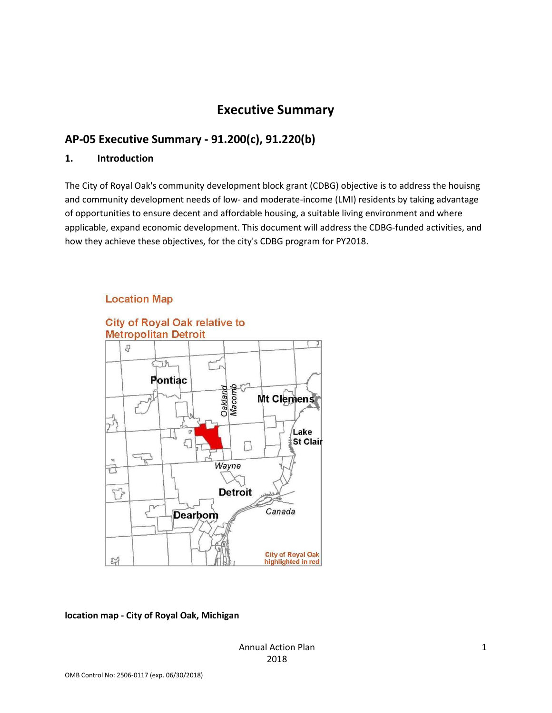# Executive Summary

# AP-05 Executive Summary - 91.200(c), 91.220(b)

#### 1. Introduction

The City of Royal Oak's community development block grant (CDBG) objective is to address the houisng and community development needs of low- and moderate-income (LMI) residents by taking advantage of opportunities to ensure decent and affordable housing, a suitable living environment and where applicable, expand economic development. This document will address the CDBG-funded activities, and how they achieve these objectives, for the city's CDBG program for PY2018.

#### **Location Map**



#### location map - City of Royal Oak, Michigan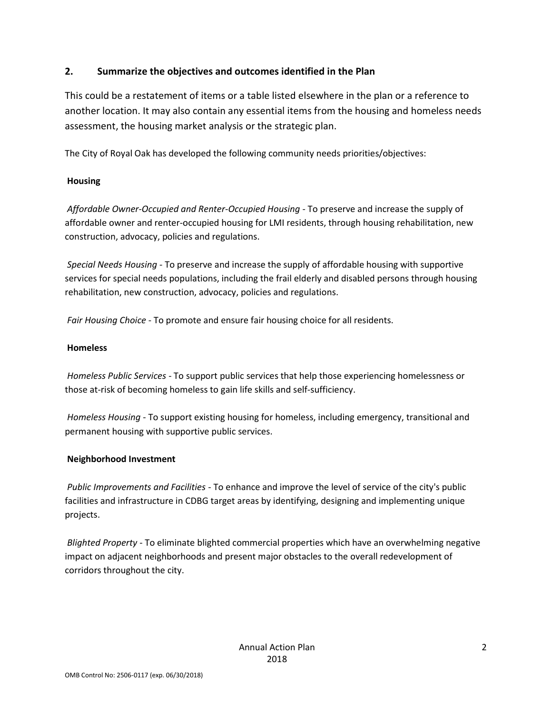## 2. Summarize the objectives and outcomes identified in the Plan

This could be a restatement of items or a table listed elsewhere in the plan or a reference to another location. It may also contain any essential items from the housing and homeless needs assessment, the housing market analysis or the strategic plan.

The City of Royal Oak has developed the following community needs priorities/objectives:

## **Housing**

Affordable Owner-Occupied and Renter-Occupied Housing - To preserve and increase the supply of affordable owner and renter-occupied housing for LMI residents, through housing rehabilitation, new construction, advocacy, policies and regulations.

Special Needs Housing - To preserve and increase the supply of affordable housing with supportive services for special needs populations, including the frail elderly and disabled persons through housing rehabilitation, new construction, advocacy, policies and regulations.

Fair Housing Choice - To promote and ensure fair housing choice for all residents.

#### Homeless

Homeless Public Services - To support public services that help those experiencing homelessness or those at-risk of becoming homeless to gain life skills and self-sufficiency.

Homeless Housing - To support existing housing for homeless, including emergency, transitional and permanent housing with supportive public services.

#### Neighborhood Investment

Public Improvements and Facilities - To enhance and improve the level of service of the city's public facilities and infrastructure in CDBG target areas by identifying, designing and implementing unique projects.

Blighted Property - To eliminate blighted commercial properties which have an overwhelming negative impact on adjacent neighborhoods and present major obstacles to the overall redevelopment of corridors throughout the city.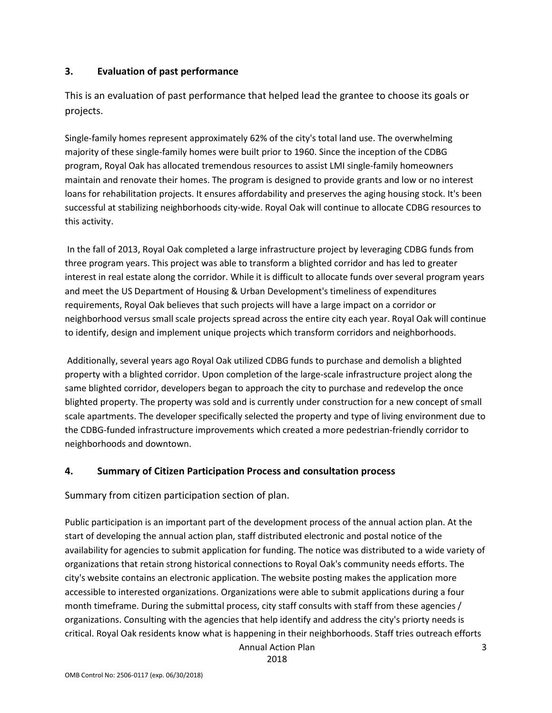## 3. Evaluation of past performance

This is an evaluation of past performance that helped lead the grantee to choose its goals or projects.

Single-family homes represent approximately 62% of the city's total land use. The overwhelming majority of these single-family homes were built prior to 1960. Since the inception of the CDBG program, Royal Oak has allocated tremendous resources to assist LMI single-family homeowners maintain and renovate their homes. The program is designed to provide grants and low or no interest loans for rehabilitation projects. It ensures affordability and preserves the aging housing stock. It's been successful at stabilizing neighborhoods city-wide. Royal Oak will continue to allocate CDBG resources to this activity.

 In the fall of 2013, Royal Oak completed a large infrastructure project by leveraging CDBG funds from three program years. This project was able to transform a blighted corridor and has led to greater interest in real estate along the corridor. While it is difficult to allocate funds over several program years and meet the US Department of Housing & Urban Development's timeliness of expenditures requirements, Royal Oak believes that such projects will have a large impact on a corridor or neighborhood versus small scale projects spread across the entire city each year. Royal Oak will continue to identify, design and implement unique projects which transform corridors and neighborhoods.

 Additionally, several years ago Royal Oak utilized CDBG funds to purchase and demolish a blighted property with a blighted corridor. Upon completion of the large-scale infrastructure project along the same blighted corridor, developers began to approach the city to purchase and redevelop the once blighted property. The property was sold and is currently under construction for a new concept of small scale apartments. The developer specifically selected the property and type of living environment due to the CDBG-funded infrastructure improvements which created a more pedestrian-friendly corridor to neighborhoods and downtown.

## 4. Summary of Citizen Participation Process and consultation process

Summary from citizen participation section of plan.

Public participation is an important part of the development process of the annual action plan. At the start of developing the annual action plan, staff distributed electronic and postal notice of the availability for agencies to submit application for funding. The notice was distributed to a wide variety of organizations that retain strong historical connections to Royal Oak's community needs efforts. The city's website contains an electronic application. The website posting makes the application more accessible to interested organizations. Organizations were able to submit applications during a four month timeframe. During the submittal process, city staff consults with staff from these agencies / organizations. Consulting with the agencies that help identify and address the city's priorty needs is critical. Royal Oak residents know what is happening in their neighborhoods. Staff tries outreach efforts

Annual Action Plan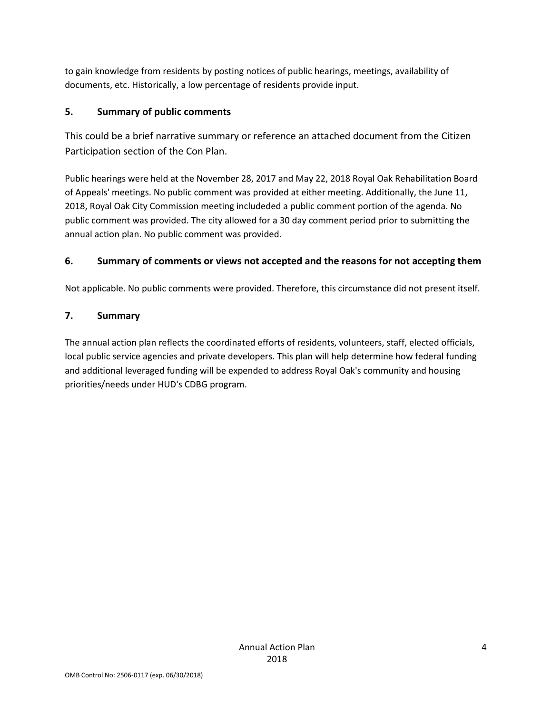to gain knowledge from residents by posting notices of public hearings, meetings, availability of documents, etc. Historically, a low percentage of residents provide input.

# 5. Summary of public comments

This could be a brief narrative summary or reference an attached document from the Citizen Participation section of the Con Plan.

Public hearings were held at the November 28, 2017 and May 22, 2018 Royal Oak Rehabilitation Board of Appeals' meetings. No public comment was provided at either meeting. Additionally, the June 11, 2018, Royal Oak City Commission meeting includeded a public comment portion of the agenda. No public comment was provided. The city allowed for a 30 day comment period prior to submitting the annual action plan. No public comment was provided.

# 6. Summary of comments or views not accepted and the reasons for not accepting them

Not applicable. No public comments were provided. Therefore, this circumstance did not present itself.

# 7. Summary

The annual action plan reflects the coordinated efforts of residents, volunteers, staff, elected officials, local public service agencies and private developers. This plan will help determine how federal funding and additional leveraged funding will be expended to address Royal Oak's community and housing priorities/needs under HUD's CDBG program.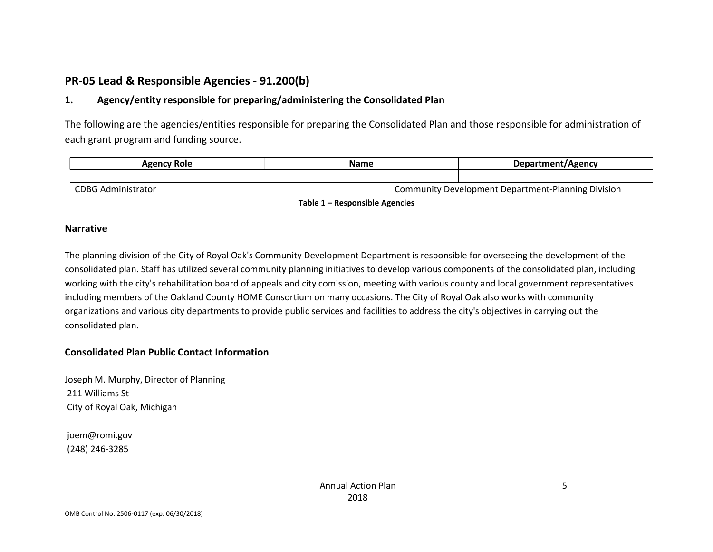# PR-05 Lead & Responsible Agencies - 91.200(b)

# 1. Agency/entity responsible for preparing/administering the Consolidated Plan

The following are the agencies/entities responsible for preparing the Consolidated Plan and those responsible for administration of each grant program and funding source.

| <b>Agency Role</b> |                           | Name |  | Department/Agency |                                                    |
|--------------------|---------------------------|------|--|-------------------|----------------------------------------------------|
|                    |                           |      |  |                   |                                                    |
|                    | <b>CDBG Administrator</b> |      |  |                   | Community Development Department-Planning Division |

Table 1 – Responsible Agencies

#### Narrative

The planning division of the City of Royal Oak's Community Development Department is responsible for overseeing the development of the consolidated plan. Staff has utilized several community planning initiatives to develop various components of the consolidated plan, including working with the city's rehabilitation board of appeals and city comission, meeting with various county and local government representatives including members of the Oakland County HOME Consortium on many occasions. The City of Royal Oak also works with community organizations and various city departments to provide public services and facilities to address the city's objectives in carrying out the consolidated plan.

#### Consolidated Plan Public Contact Information

Joseph M. Murphy, Director of Planning 211 Williams St City of Royal Oak, Michigan

 joem@romi.gov (248) 246-3285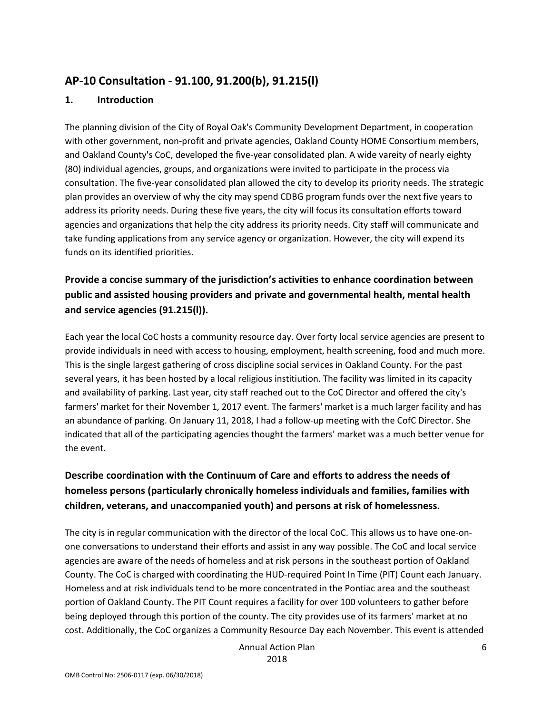# AP-10 Consultation - 91.100, 91.200(b), 91.215(l)

#### 1. Introduction

The planning division of the City of Royal Oak's Community Development Department, in cooperation with other government, non-profit and private agencies, Oakland County HOME Consortium members, and Oakland County's CoC, developed the five-year consolidated plan. A wide vareity of nearly eighty (80) individual agencies, groups, and organizations were invited to participate in the process via consultation. The five-year consolidated plan allowed the city to develop its priority needs. The strategic plan provides an overview of why the city may spend CDBG program funds over the next five years to address its priority needs. During these five years, the city will focus its consultation efforts toward agencies and organizations that help the city address its priority needs. City staff will communicate and take funding applications from any service agency or organization. However, the city will expend its funds on its identified priorities.

# Provide a concise summary of the jurisdiction's activities to enhance coordination between public and assisted housing providers and private and governmental health, mental health and service agencies (91.215(l)).

Each year the local CoC hosts a community resource day. Over forty local service agencies are present to provide individuals in need with access to housing, employment, health screening, food and much more. This is the single largest gathering of cross discipline social services in Oakland County. For the past several years, it has been hosted by a local religious institiution. The facility was limited in its capacity and availability of parking. Last year, city staff reached out to the CoC Director and offered the city's farmers' market for their November 1, 2017 event. The farmers' market is a much larger facility and has an abundance of parking. On January 11, 2018, I had a follow-up meeting with the CofC Director. She indicated that all of the participating agencies thought the farmers' market was a much better venue for the event.

# Describe coordination with the Continuum of Care and efforts to address the needs of homeless persons (particularly chronically homeless individuals and families, families with children, veterans, and unaccompanied youth) and persons at risk of homelessness.

The city is in regular communication with the director of the local CoC. This allows us to have one-onone conversations to understand their efforts and assist in any way possible. The CoC and local service agencies are aware of the needs of homeless and at risk persons in the southeast portion of Oakland County. The CoC is charged with coordinating the HUD-required Point In Time (PIT) Count each January. Homeless and at risk individuals tend to be more concentrated in the Pontiac area and the southeast portion of Oakland County. The PIT Count requires a facility for over 100 volunteers to gather before being deployed through this portion of the county. The city provides use of its farmers' market at no cost. Additionally, the CoC organizes a Community Resource Day each November. This event is attended

> Annual Action Plan 2018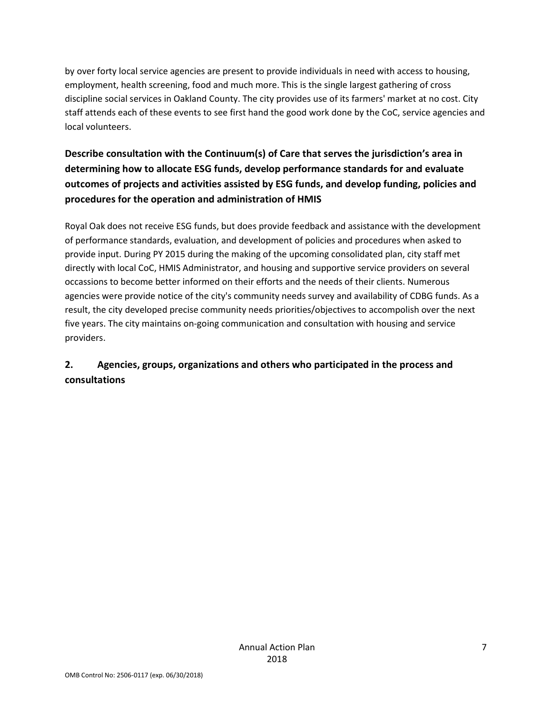by over forty local service agencies are present to provide individuals in need with access to housing, employment, health screening, food and much more. This is the single largest gathering of cross discipline social services in Oakland County. The city provides use of its farmers' market at no cost. City staff attends each of these events to see first hand the good work done by the CoC, service agencies and local volunteers.

# Describe consultation with the Continuum(s) of Care that serves the jurisdiction's area in determining how to allocate ESG funds, develop performance standards for and evaluate outcomes of projects and activities assisted by ESG funds, and develop funding, policies and procedures for the operation and administration of HMIS

Royal Oak does not receive ESG funds, but does provide feedback and assistance with the development of performance standards, evaluation, and development of policies and procedures when asked to provide input. During PY 2015 during the making of the upcoming consolidated plan, city staff met directly with local CoC, HMIS Administrator, and housing and supportive service providers on several occassions to become better informed on their efforts and the needs of their clients. Numerous agencies were provide notice of the city's community needs survey and availability of CDBG funds. As a result, the city developed precise community needs priorities/objectives to accompolish over the next five years. The city maintains on-going communication and consultation with housing and service providers.

# 2. Agencies, groups, organizations and others who participated in the process and consultations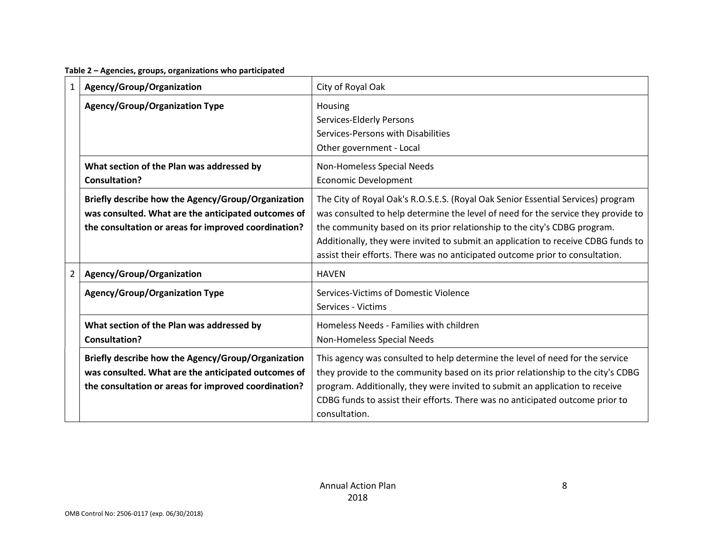| Table 2 - Agencies, groups, organizations who participated |  |  |
|------------------------------------------------------------|--|--|
|------------------------------------------------------------|--|--|

| $\mathbf{1}$   | Agency/Group/Organization                                                                                                                                         | City of Royal Oak                                                                                                                                                                                                                                                                                                                                                                                                        |
|----------------|-------------------------------------------------------------------------------------------------------------------------------------------------------------------|--------------------------------------------------------------------------------------------------------------------------------------------------------------------------------------------------------------------------------------------------------------------------------------------------------------------------------------------------------------------------------------------------------------------------|
|                | <b>Agency/Group/Organization Type</b>                                                                                                                             | Housing<br>Services-Elderly Persons<br>Services-Persons with Disabilities<br>Other government - Local                                                                                                                                                                                                                                                                                                                    |
|                | What section of the Plan was addressed by<br><b>Consultation?</b>                                                                                                 | Non-Homeless Special Needs<br><b>Economic Development</b>                                                                                                                                                                                                                                                                                                                                                                |
|                | Briefly describe how the Agency/Group/Organization<br>was consulted. What are the anticipated outcomes of<br>the consultation or areas for improved coordination? | The City of Royal Oak's R.O.S.E.S. (Royal Oak Senior Essential Services) program<br>was consulted to help determine the level of need for the service they provide to<br>the community based on its prior relationship to the city's CDBG program.<br>Additionally, they were invited to submit an application to receive CDBG funds to<br>assist their efforts. There was no anticipated outcome prior to consultation. |
| $\overline{2}$ | Agency/Group/Organization                                                                                                                                         | <b>HAVEN</b>                                                                                                                                                                                                                                                                                                                                                                                                             |
|                | <b>Agency/Group/Organization Type</b>                                                                                                                             | Services-Victims of Domestic Violence<br>Services - Victims                                                                                                                                                                                                                                                                                                                                                              |
|                | What section of the Plan was addressed by<br><b>Consultation?</b>                                                                                                 | Homeless Needs - Families with children<br>Non-Homeless Special Needs                                                                                                                                                                                                                                                                                                                                                    |
|                | Briefly describe how the Agency/Group/Organization<br>was consulted. What are the anticipated outcomes of<br>the consultation or areas for improved coordination? | This agency was consulted to help determine the level of need for the service<br>they provide to the community based on its prior relationship to the city's CDBG<br>program. Additionally, they were invited to submit an application to receive<br>CDBG funds to assist their efforts. There was no anticipated outcome prior to<br>consultation.                                                                      |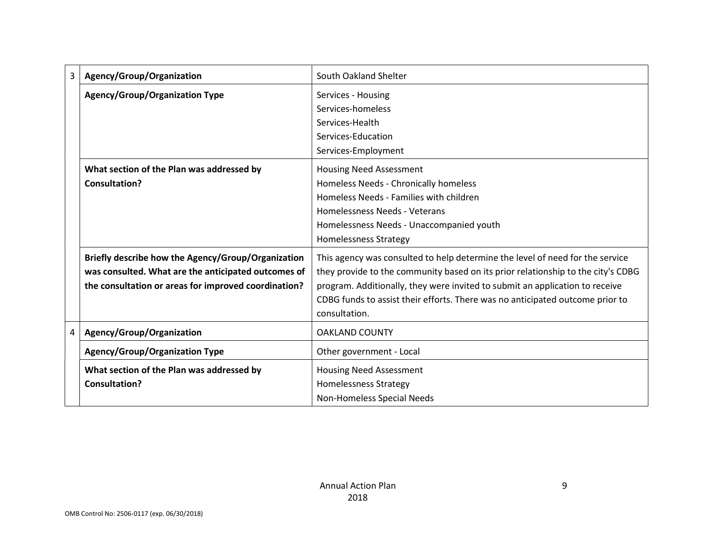| 3 | Agency/Group/Organization                            | South Oakland Shelter                                                            |  |  |
|---|------------------------------------------------------|----------------------------------------------------------------------------------|--|--|
|   | <b>Agency/Group/Organization Type</b>                | Services - Housing                                                               |  |  |
|   |                                                      | Services-homeless                                                                |  |  |
|   |                                                      | Services-Health                                                                  |  |  |
|   |                                                      | Services-Education                                                               |  |  |
|   |                                                      | Services-Employment                                                              |  |  |
|   | What section of the Plan was addressed by            | <b>Housing Need Assessment</b>                                                   |  |  |
|   | <b>Consultation?</b>                                 | Homeless Needs - Chronically homeless                                            |  |  |
|   |                                                      | Homeless Needs - Families with children                                          |  |  |
|   |                                                      | Homelessness Needs - Veterans                                                    |  |  |
|   |                                                      | Homelessness Needs - Unaccompanied youth                                         |  |  |
|   |                                                      | <b>Homelessness Strategy</b>                                                     |  |  |
|   | Briefly describe how the Agency/Group/Organization   | This agency was consulted to help determine the level of need for the service    |  |  |
|   | was consulted. What are the anticipated outcomes of  | they provide to the community based on its prior relationship to the city's CDBG |  |  |
|   | the consultation or areas for improved coordination? | program. Additionally, they were invited to submit an application to receive     |  |  |
|   |                                                      | CDBG funds to assist their efforts. There was no anticipated outcome prior to    |  |  |
|   |                                                      | consultation.                                                                    |  |  |
| 4 | Agency/Group/Organization                            | <b>OAKLAND COUNTY</b>                                                            |  |  |
|   | <b>Agency/Group/Organization Type</b>                | Other government - Local                                                         |  |  |
|   | What section of the Plan was addressed by            | <b>Housing Need Assessment</b>                                                   |  |  |
|   | Consultation?                                        | <b>Homelessness Strategy</b>                                                     |  |  |
|   |                                                      | Non-Homeless Special Needs                                                       |  |  |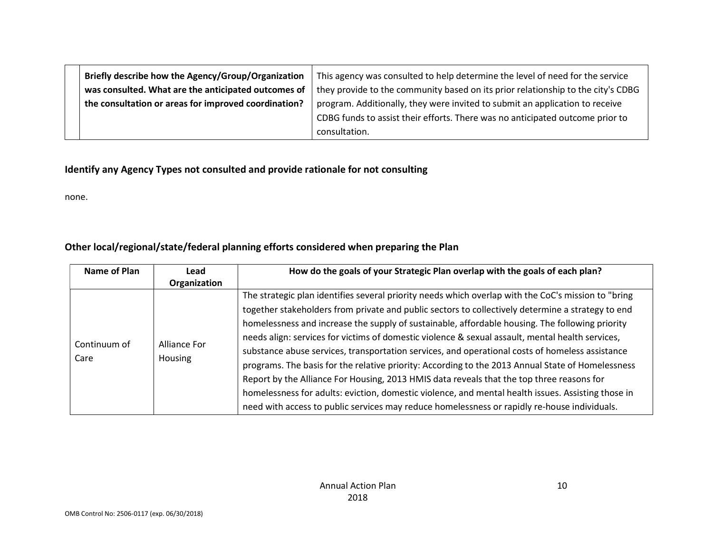| Briefly describe how the Agency/Group/Organization   | This agency was consulted to help determine the level of need for the service    |
|------------------------------------------------------|----------------------------------------------------------------------------------|
| was consulted. What are the anticipated outcomes of  | they provide to the community based on its prior relationship to the city's CDBG |
| the consultation or areas for improved coordination? | program. Additionally, they were invited to submit an application to receive     |
|                                                      | CDBG funds to assist their efforts. There was no anticipated outcome prior to    |
|                                                      | consultation.                                                                    |

# Identify any Agency Types not consulted and provide rationale for not consulting

none.

# Other local/regional/state/federal planning efforts considered when preparing the Plan

| Name of Plan         | Lead                    | How do the goals of your Strategic Plan overlap with the goals of each plan?                                                                                                                                                                                                                                                                                                                                                                                                                                                                                                                                                                                                                                                                                                                                                                                                                                               |  |  |  |  |
|----------------------|-------------------------|----------------------------------------------------------------------------------------------------------------------------------------------------------------------------------------------------------------------------------------------------------------------------------------------------------------------------------------------------------------------------------------------------------------------------------------------------------------------------------------------------------------------------------------------------------------------------------------------------------------------------------------------------------------------------------------------------------------------------------------------------------------------------------------------------------------------------------------------------------------------------------------------------------------------------|--|--|--|--|
|                      | Organization            |                                                                                                                                                                                                                                                                                                                                                                                                                                                                                                                                                                                                                                                                                                                                                                                                                                                                                                                            |  |  |  |  |
| Continuum of<br>Care | Alliance For<br>Housing | The strategic plan identifies several priority needs which overlap with the CoC's mission to "bring<br>together stakeholders from private and public sectors to collectively determine a strategy to end<br>homelessness and increase the supply of sustainable, affordable housing. The following priority<br>needs align: services for victims of domestic violence & sexual assault, mental health services,<br>substance abuse services, transportation services, and operational costs of homeless assistance<br>programs. The basis for the relative priority: According to the 2013 Annual State of Homelessness<br>Report by the Alliance For Housing, 2013 HMIS data reveals that the top three reasons for<br>homelessness for adults: eviction, domestic violence, and mental health issues. Assisting those in<br>need with access to public services may reduce homelessness or rapidly re-house individuals. |  |  |  |  |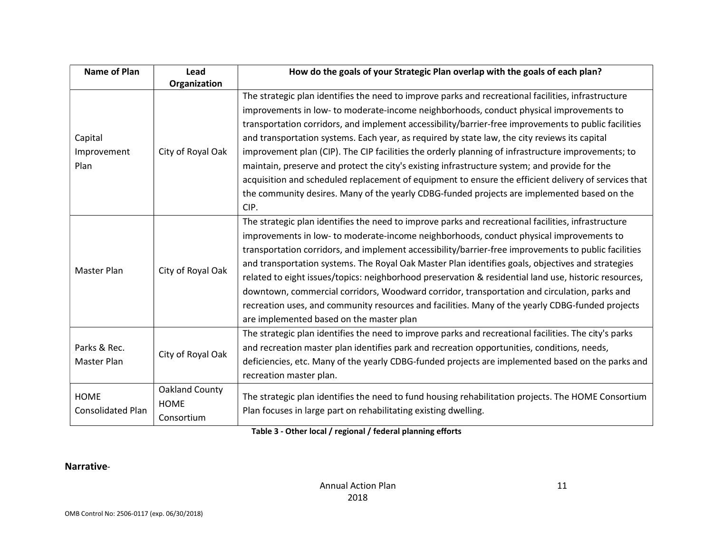| <b>Name of Plan</b>                     | Lead                                               | How do the goals of your Strategic Plan overlap with the goals of each plan?                                                                                                                                                                                                                                                                                                                                                                                                                                                                                                                                                                                                                                                                                                                                                  |  |  |  |
|-----------------------------------------|----------------------------------------------------|-------------------------------------------------------------------------------------------------------------------------------------------------------------------------------------------------------------------------------------------------------------------------------------------------------------------------------------------------------------------------------------------------------------------------------------------------------------------------------------------------------------------------------------------------------------------------------------------------------------------------------------------------------------------------------------------------------------------------------------------------------------------------------------------------------------------------------|--|--|--|
|                                         | Organization                                       |                                                                                                                                                                                                                                                                                                                                                                                                                                                                                                                                                                                                                                                                                                                                                                                                                               |  |  |  |
| Capital<br>Improvement<br>Plan          | City of Royal Oak                                  | The strategic plan identifies the need to improve parks and recreational facilities, infrastructure<br>improvements in low- to moderate-income neighborhoods, conduct physical improvements to<br>transportation corridors, and implement accessibility/barrier-free improvements to public facilities<br>and transportation systems. Each year, as required by state law, the city reviews its capital<br>improvement plan (CIP). The CIP facilities the orderly planning of infrastructure improvements; to<br>maintain, preserve and protect the city's existing infrastructure system; and provide for the<br>acquisition and scheduled replacement of equipment to ensure the efficient delivery of services that<br>the community desires. Many of the yearly CDBG-funded projects are implemented based on the<br>CIP. |  |  |  |
| City of Royal Oak<br>Master Plan        |                                                    | The strategic plan identifies the need to improve parks and recreational facilities, infrastructure<br>improvements in low- to moderate-income neighborhoods, conduct physical improvements to<br>transportation corridors, and implement accessibility/barrier-free improvements to public facilities<br>and transportation systems. The Royal Oak Master Plan identifies goals, objectives and strategies<br>related to eight issues/topics: neighborhood preservation & residential land use, historic resources,<br>downtown, commercial corridors, Woodward corridor, transportation and circulation, parks and<br>recreation uses, and community resources and facilities. Many of the yearly CDBG-funded projects<br>are implemented based on the master plan                                                          |  |  |  |
| Parks & Rec.<br>Master Plan             | City of Royal Oak                                  | The strategic plan identifies the need to improve parks and recreational facilities. The city's parks<br>and recreation master plan identifies park and recreation opportunities, conditions, needs,<br>deficiencies, etc. Many of the yearly CDBG-funded projects are implemented based on the parks and<br>recreation master plan.                                                                                                                                                                                                                                                                                                                                                                                                                                                                                          |  |  |  |
| <b>HOME</b><br><b>Consolidated Plan</b> | <b>Oakland County</b><br><b>HOME</b><br>Consortium | The strategic plan identifies the need to fund housing rehabilitation projects. The HOME Consortium<br>Plan focuses in large part on rehabilitating existing dwelling.                                                                                                                                                                                                                                                                                                                                                                                                                                                                                                                                                                                                                                                        |  |  |  |

#### Table 3 - Other local / regional / federal planning efforts

# Narrative-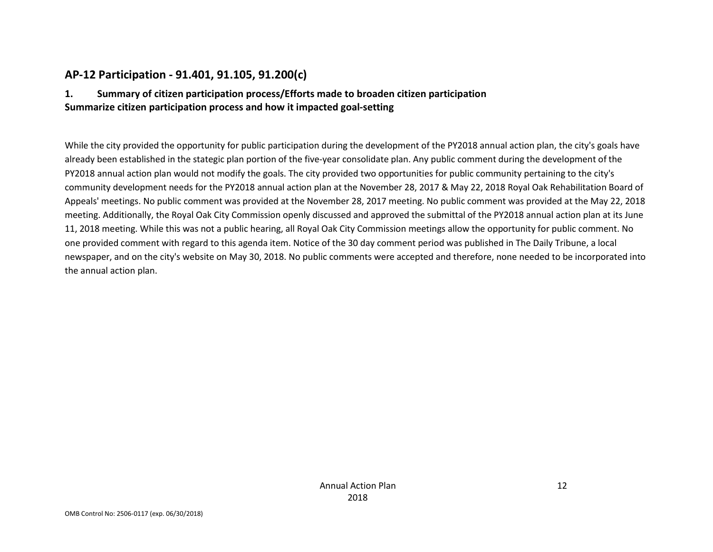# AP-12 Participation - 91.401, 91.105, 91.200(c)

# 1. Summary of citizen participation process/Efforts made to broaden citizen participation Summarize citizen participation process and how it impacted goal-setting

While the city provided the opportunity for public participation during the development of the PY2018 annual action plan, the city's goals have already been established in the stategic plan portion of the five-year consolidate plan. Any public comment during the development of the PY2018 annual action plan would not modify the goals. The city provided two opportunities for public community pertaining to the city's community development needs for the PY2018 annual action plan at the November 28, 2017 & May 22, 2018 Royal Oak Rehabilitation Board of Appeals' meetings. No public comment was provided at the November 28, 2017 meeting. No public comment was provided at the May 22, 2018 meeting. Additionally, the Royal Oak City Commission openly discussed and approved the submittal of the PY2018 annual action plan at its June 11, 2018 meeting. While this was not a public hearing, all Royal Oak City Commission meetings allow the opportunity for public comment. No one provided comment with regard to this agenda item. Notice of the 30 day comment period was published in The Daily Tribune, a local newspaper, and on the city's website on May 30, 2018. No public comments were accepted and therefore, none needed to be incorporated into the annual action plan.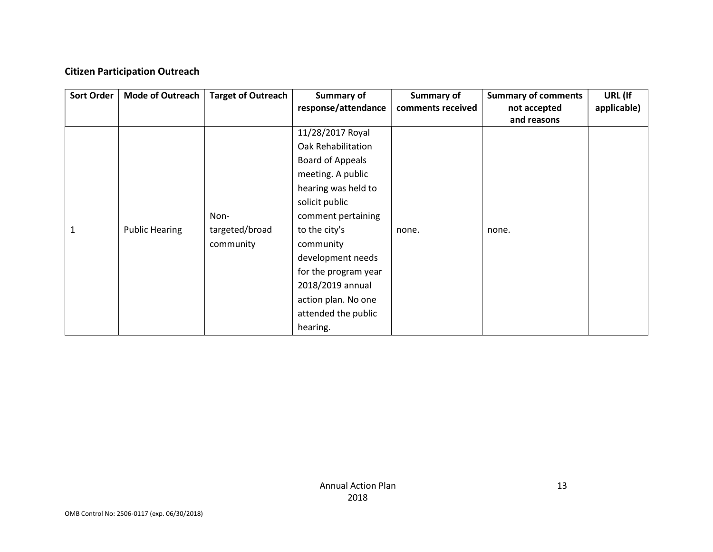# Citizen Participation Outreach

| <b>Sort Order</b> | <b>Mode of Outreach</b> | <b>Target of Outreach</b> | Summary of              | Summary of        | <b>Summary of comments</b> | URL (If     |
|-------------------|-------------------------|---------------------------|-------------------------|-------------------|----------------------------|-------------|
|                   |                         |                           | response/attendance     | comments received | not accepted               | applicable) |
|                   |                         |                           |                         |                   | and reasons                |             |
|                   |                         |                           | 11/28/2017 Royal        |                   |                            |             |
|                   |                         |                           | Oak Rehabilitation      |                   |                            |             |
|                   |                         |                           | <b>Board of Appeals</b> |                   |                            |             |
|                   |                         |                           | meeting. A public       |                   |                            |             |
|                   |                         |                           | hearing was held to     |                   |                            |             |
|                   |                         |                           | solicit public          |                   |                            |             |
|                   |                         | Non-                      | comment pertaining      |                   |                            |             |
| 1                 | <b>Public Hearing</b>   | targeted/broad            | to the city's           | none.             | none.                      |             |
|                   |                         | community                 | community               |                   |                            |             |
|                   |                         |                           | development needs       |                   |                            |             |
|                   |                         |                           | for the program year    |                   |                            |             |
|                   |                         |                           | 2018/2019 annual        |                   |                            |             |
|                   |                         |                           | action plan. No one     |                   |                            |             |
|                   |                         |                           | attended the public     |                   |                            |             |
|                   |                         |                           | hearing.                |                   |                            |             |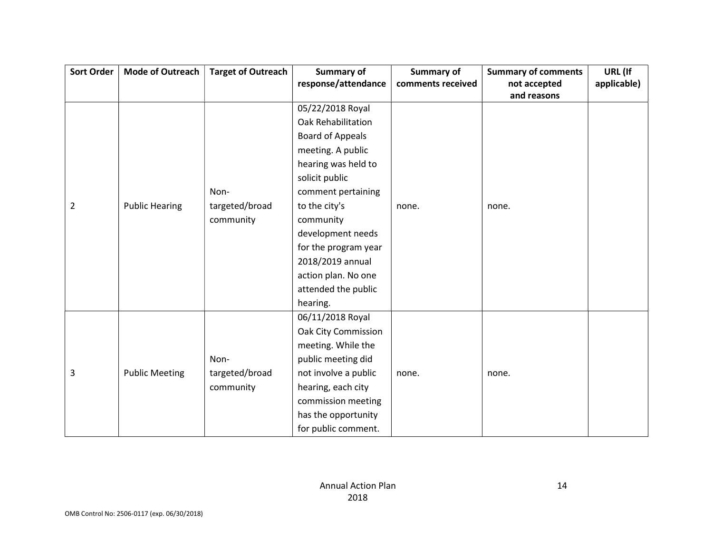| <b>Sort Order</b> | <b>Mode of Outreach</b> | <b>Target of Outreach</b> | <b>Summary of</b>          | <b>Summary of</b> | <b>Summary of comments</b> | URL (If     |
|-------------------|-------------------------|---------------------------|----------------------------|-------------------|----------------------------|-------------|
|                   |                         |                           | response/attendance        | comments received | not accepted               | applicable) |
|                   |                         |                           |                            |                   | and reasons                |             |
|                   |                         |                           | 05/22/2018 Royal           |                   |                            |             |
|                   |                         |                           | Oak Rehabilitation         |                   |                            |             |
|                   |                         |                           | <b>Board of Appeals</b>    |                   |                            |             |
|                   |                         |                           | meeting. A public          |                   |                            |             |
|                   |                         |                           | hearing was held to        |                   |                            |             |
|                   |                         |                           | solicit public             |                   |                            |             |
|                   |                         | Non-                      | comment pertaining         |                   |                            |             |
| $\overline{2}$    | <b>Public Hearing</b>   | targeted/broad            | to the city's              | none.             | none.                      |             |
|                   |                         | community                 | community                  |                   |                            |             |
|                   |                         |                           | development needs          |                   |                            |             |
|                   |                         |                           | for the program year       |                   |                            |             |
|                   |                         |                           | 2018/2019 annual           |                   |                            |             |
|                   |                         |                           | action plan. No one        |                   |                            |             |
|                   |                         |                           | attended the public        |                   |                            |             |
|                   |                         |                           | hearing.                   |                   |                            |             |
|                   |                         |                           | 06/11/2018 Royal           |                   |                            |             |
|                   |                         |                           | <b>Oak City Commission</b> |                   |                            |             |
|                   |                         |                           | meeting. While the         |                   |                            |             |
|                   |                         | Non-                      | public meeting did         |                   |                            |             |
| 3                 | <b>Public Meeting</b>   | targeted/broad            | not involve a public       | none.             | none.                      |             |
|                   |                         | community                 | hearing, each city         |                   |                            |             |
|                   |                         |                           | commission meeting         |                   |                            |             |
|                   |                         |                           | has the opportunity        |                   |                            |             |
|                   |                         |                           | for public comment.        |                   |                            |             |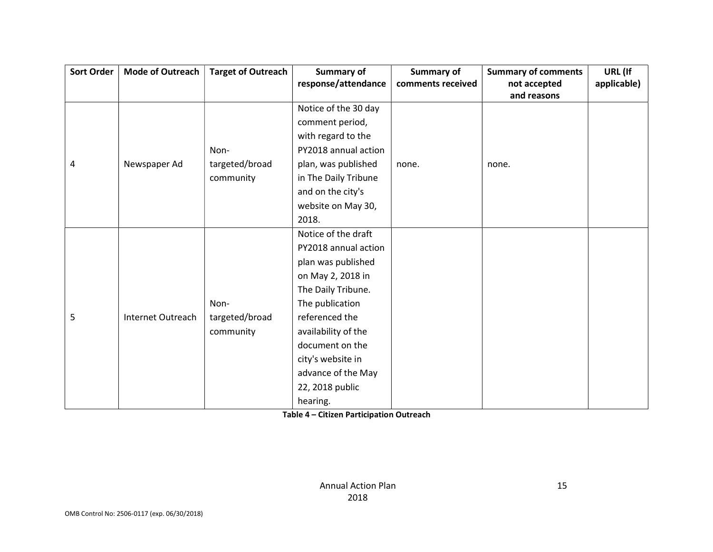| <b>Sort Order</b> | <b>Mode of Outreach</b> | <b>Target of Outreach</b> | <b>Summary of</b>    | <b>Summary of</b> | <b>Summary of comments</b> | URL (If     |
|-------------------|-------------------------|---------------------------|----------------------|-------------------|----------------------------|-------------|
|                   |                         |                           | response/attendance  | comments received | not accepted               | applicable) |
|                   |                         |                           |                      |                   | and reasons                |             |
|                   |                         |                           | Notice of the 30 day |                   |                            |             |
|                   |                         |                           | comment period,      |                   |                            |             |
|                   |                         |                           | with regard to the   |                   |                            |             |
|                   |                         | Non-                      | PY2018 annual action |                   |                            |             |
| 4                 | Newspaper Ad            | targeted/broad            | plan, was published  | none.             | none.                      |             |
|                   |                         | community                 | in The Daily Tribune |                   |                            |             |
|                   |                         |                           | and on the city's    |                   |                            |             |
|                   |                         |                           | website on May 30,   |                   |                            |             |
|                   |                         |                           | 2018.                |                   |                            |             |
|                   |                         |                           | Notice of the draft  |                   |                            |             |
|                   |                         |                           | PY2018 annual action |                   |                            |             |
|                   |                         |                           | plan was published   |                   |                            |             |
|                   |                         |                           | on May 2, 2018 in    |                   |                            |             |
|                   |                         |                           | The Daily Tribune.   |                   |                            |             |
|                   |                         | Non-                      | The publication      |                   |                            |             |
| 5                 | Internet Outreach       | targeted/broad            | referenced the       |                   |                            |             |
|                   |                         | community                 | availability of the  |                   |                            |             |
|                   |                         |                           | document on the      |                   |                            |             |
|                   |                         |                           | city's website in    |                   |                            |             |
|                   |                         |                           | advance of the May   |                   |                            |             |
|                   |                         |                           | 22, 2018 public      |                   |                            |             |
|                   |                         |                           | hearing.             |                   |                            |             |

Table 4 – Citizen Participation Outreach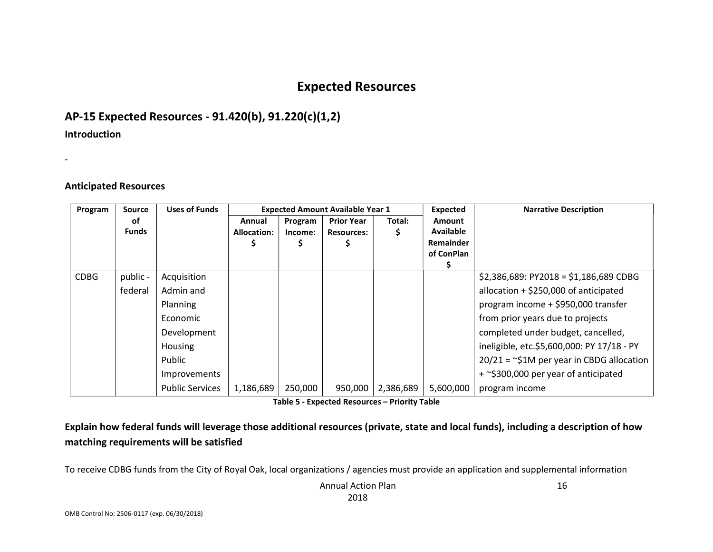# Expected Resources

# AP-15 Expected Resources - 91.420(b), 91.220(c)(1,2)

#### Introduction

-

### Anticipated Resources

| Program     | Source       | <b>Uses of Funds</b>   |                    |         | <b>Expected Amount Available Year 1</b> |           | <b>Expected</b>                | <b>Narrative Description</b>                |
|-------------|--------------|------------------------|--------------------|---------|-----------------------------------------|-----------|--------------------------------|---------------------------------------------|
|             | οf           |                        | Annual             | Program | <b>Prior Year</b>                       | Total:    | <b>Amount</b>                  |                                             |
|             | <b>Funds</b> |                        | <b>Allocation:</b> | Income: | <b>Resources:</b>                       | S         | <b>Available</b>               |                                             |
|             |              |                        |                    |         |                                         |           | <b>Remainder</b><br>of ConPlan |                                             |
|             |              |                        |                    |         |                                         |           |                                |                                             |
| <b>CDBG</b> | public -     | Acquisition            |                    |         |                                         |           |                                | $$2,386,689$ : PY2018 = \$1,186,689 CDBG    |
|             | federal      | Admin and              |                    |         |                                         |           |                                | allocation $+$ \$250,000 of anticipated     |
|             |              | Planning               |                    |         |                                         |           |                                | program income + \$950,000 transfer         |
|             |              | Economic               |                    |         |                                         |           |                                | from prior years due to projects            |
|             |              | Development            |                    |         |                                         |           |                                | completed under budget, cancelled,          |
|             |              | Housing                |                    |         |                                         |           |                                | ineligible, etc.\$5,600,000: PY 17/18 - PY  |
|             |              | Public                 |                    |         |                                         |           |                                | $20/21 =$ ~\$1M per year in CBDG allocation |
|             |              | Improvements           |                    |         |                                         |           |                                | + ~\$300,000 per year of anticipated        |
|             |              | <b>Public Services</b> | 1,186,689          | 250,000 | 950,000                                 | 2,386,689 | 5,600,000                      | program income                              |

Table 5 - Expected Resources – Priority Table

Explain how federal funds will leverage those additional resources (private, state and local funds), including a description of how matching requirements will be satisfied

To receive CDBG funds from the City of Royal Oak, local organizations / agencies must provide an application and supplemental information

Annual Action Plan 2018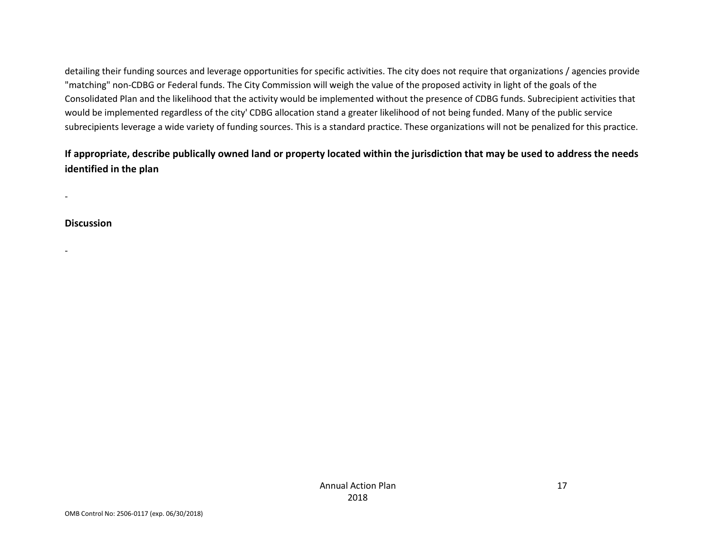detailing their funding sources and leverage opportunities for specific activities. The city does not require that organizations / agencies provide "matching" non-CDBG or Federal funds. The City Commission will weigh the value of the proposed activity in light of the goals of the Consolidated Plan and the likelihood that the activity would be implemented without the presence of CDBG funds. Subrecipient activities that would be implemented regardless of the city' CDBG allocation stand a greater likelihood of not being funded. Many of the public service subrecipients leverage a wide variety of funding sources. This is a standard practice. These organizations will not be penalized for this practice.

# If appropriate, describe publically owned land or property located within the jurisdiction that may be used to address the needs identified in the plan

**Discussion** 

-

-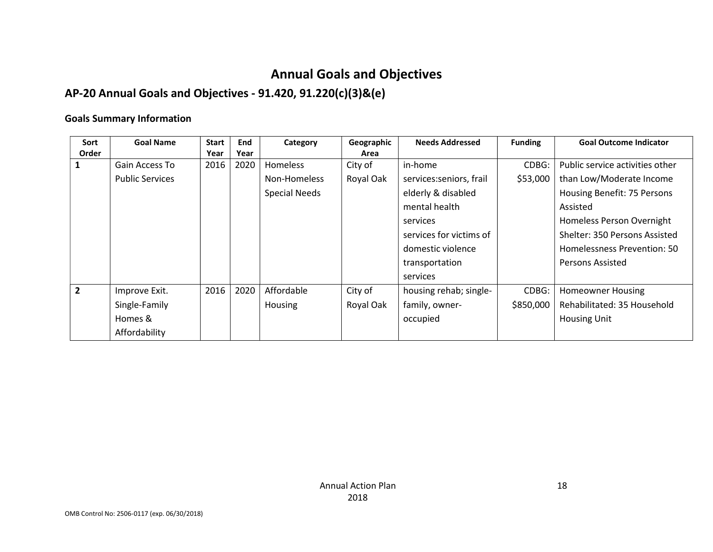# Annual Goals and Objectives

# AP-20 Annual Goals and Objectives - 91.420, 91.220(c)(3)&(e)

## Goals Summary Information

| Sort           | <b>Goal Name</b>       | <b>Start</b><br>End<br>Category |      |                      | Geographic | <b>Needs Addressed</b>  | <b>Funding</b> | <b>Goal Outcome Indicator</b>   |
|----------------|------------------------|---------------------------------|------|----------------------|------------|-------------------------|----------------|---------------------------------|
| Order          |                        | Year                            | Year | Area                 |            |                         |                |                                 |
|                | Gain Access To         | 2016                            | 2020 | <b>Homeless</b>      | City of    | CDBG:<br>in-home        |                | Public service activities other |
|                | <b>Public Services</b> |                                 |      | Non-Homeless         | Royal Oak  | services:seniors, frail | \$53,000       | than Low/Moderate Income        |
|                |                        |                                 |      | <b>Special Needs</b> |            | elderly & disabled      |                | Housing Benefit: 75 Persons     |
|                |                        |                                 |      |                      |            | mental health           |                | Assisted                        |
|                |                        |                                 |      |                      |            | services                |                | Homeless Person Overnight       |
|                |                        |                                 |      |                      |            | services for victims of |                | Shelter: 350 Persons Assisted   |
|                |                        |                                 |      |                      |            | domestic violence       |                | Homelessness Prevention: 50     |
|                |                        |                                 |      |                      |            | transportation          |                | <b>Persons Assisted</b>         |
|                |                        |                                 |      |                      |            | services                |                |                                 |
| $\overline{2}$ | Improve Exit.          | 2016                            | 2020 | Affordable           | City of    | housing rehab; single-  | CDBG:          | <b>Homeowner Housing</b>        |
|                | Single-Family          |                                 |      | Housing              | Royal Oak  | family, owner-          | \$850,000      | Rehabilitated: 35 Household     |
|                | Homes &                |                                 |      |                      |            | occupied                |                | <b>Housing Unit</b>             |
|                | Affordability          |                                 |      |                      |            |                         |                |                                 |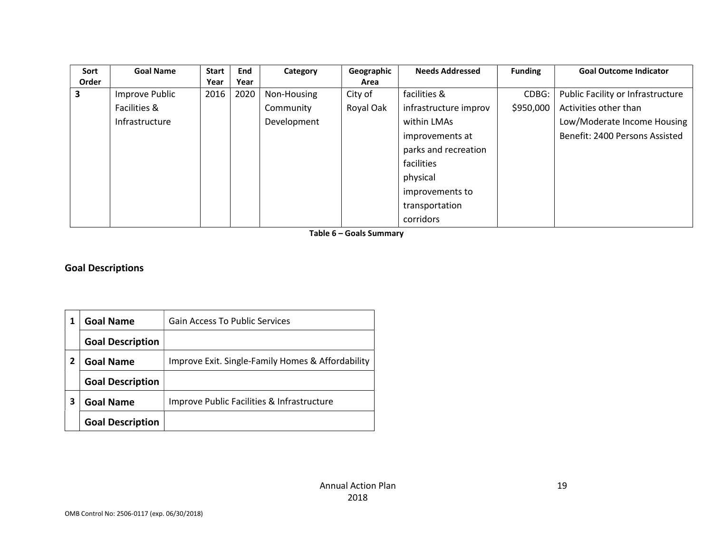| Sort  | <b>Goal Name</b> | <b>Start</b> | End  | Category    | Geographic | <b>Needs Addressed</b> | <b>Funding</b> | <b>Goal Outcome Indicator</b>     |
|-------|------------------|--------------|------|-------------|------------|------------------------|----------------|-----------------------------------|
| Order |                  | Year         | Year |             | Area       |                        |                |                                   |
| 3     | Improve Public   | 2016         | 2020 | Non-Housing | City of    | facilities &           | CDBG:          | Public Facility or Infrastructure |
|       | Facilities &     |              |      | Community   | Royal Oak  | infrastructure improv  | \$950,000      | Activities other than             |
|       | Infrastructure   |              |      | Development |            | within LMAs            |                | Low/Moderate Income Housing       |
|       |                  |              |      |             |            | improvements at        |                | Benefit: 2400 Persons Assisted    |
|       |                  |              |      |             |            | parks and recreation   |                |                                   |
|       |                  |              |      |             |            | facilities             |                |                                   |
|       |                  |              |      |             |            | physical               |                |                                   |
|       |                  |              |      |             |            | improvements to        |                |                                   |
|       |                  |              |      |             |            | transportation         |                |                                   |
|       |                  |              |      |             |            | corridors              |                |                                   |

Table 6 – Goals Summary

# Goal Descriptions

|   | <b>Goal Name</b>        | <b>Gain Access To Public Services</b>             |
|---|-------------------------|---------------------------------------------------|
|   | <b>Goal Description</b> |                                                   |
| 2 | <b>Goal Name</b>        | Improve Exit. Single-Family Homes & Affordability |
|   | <b>Goal Description</b> |                                                   |
| 3 | <b>Goal Name</b>        | Improve Public Facilities & Infrastructure        |
|   | <b>Goal Description</b> |                                                   |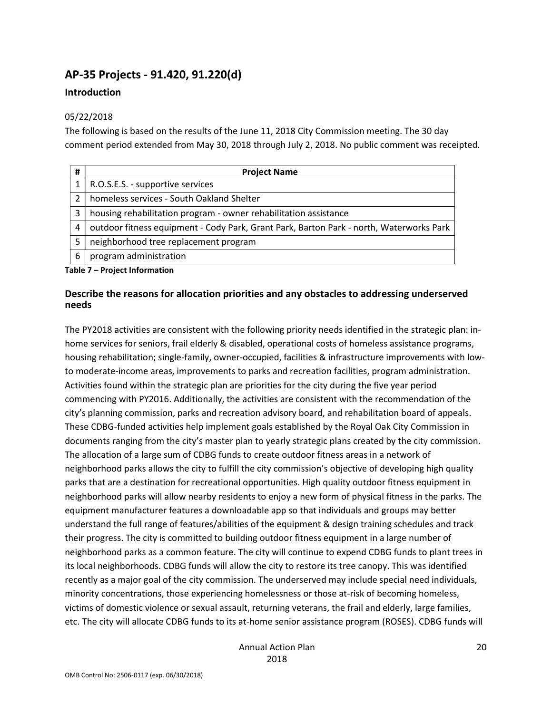# AP-35 Projects - 91.420, 91.220(d)

#### Introduction

#### 05/22/2018

The following is based on the results of the June 11, 2018 City Commission meeting. The 30 day comment period extended from May 30, 2018 through July 2, 2018. No public comment was receipted.

| # | <b>Project Name</b>                                                                     |
|---|-----------------------------------------------------------------------------------------|
|   | R.O.S.E.S. - supportive services                                                        |
| 2 | homeless services - South Oakland Shelter                                               |
| 3 | housing rehabilitation program - owner rehabilitation assistance                        |
| 4 | outdoor fitness equipment - Cody Park, Grant Park, Barton Park - north, Waterworks Park |
| 5 | neighborhood tree replacement program                                                   |
| 6 | program administration                                                                  |

Table 7 – Project Information

## Describe the reasons for allocation priorities and any obstacles to addressing underserved needs

The PY2018 activities are consistent with the following priority needs identified in the strategic plan: inhome services for seniors, frail elderly & disabled, operational costs of homeless assistance programs, housing rehabilitation; single-family, owner-occupied, facilities & infrastructure improvements with lowto moderate-income areas, improvements to parks and recreation facilities, program administration. Activities found within the strategic plan are priorities for the city during the five year period commencing with PY2016. Additionally, the activities are consistent with the recommendation of the city's planning commission, parks and recreation advisory board, and rehabilitation board of appeals. These CDBG-funded activities help implement goals established by the Royal Oak City Commission in documents ranging from the city's master plan to yearly strategic plans created by the city commission. The allocation of a large sum of CDBG funds to create outdoor fitness areas in a network of neighborhood parks allows the city to fulfill the city commission's objective of developing high quality parks that are a destination for recreational opportunities. High quality outdoor fitness equipment in neighborhood parks will allow nearby residents to enjoy a new form of physical fitness in the parks. The equipment manufacturer features a downloadable app so that individuals and groups may better understand the full range of features/abilities of the equipment & design training schedules and track their progress. The city is committed to building outdoor fitness equipment in a large number of neighborhood parks as a common feature. The city will continue to expend CDBG funds to plant trees in its local neighborhoods. CDBG funds will allow the city to restore its tree canopy. This was identified recently as a major goal of the city commission. The underserved may include special need individuals, minority concentrations, those experiencing homelessness or those at-risk of becoming homeless, victims of domestic violence or sexual assault, returning veterans, the frail and elderly, large families, etc. The city will allocate CDBG funds to its at-home senior assistance program (ROSES). CDBG funds will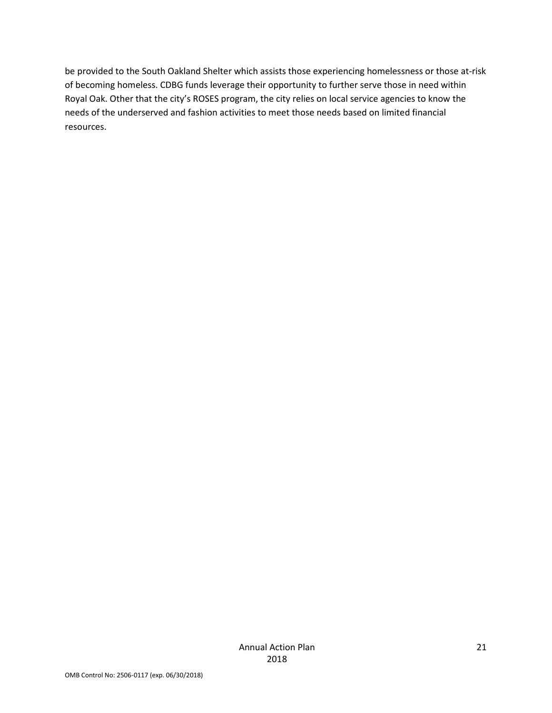be provided to the South Oakland Shelter which assists those experiencing homelessness or those at-risk of becoming homeless. CDBG funds leverage their opportunity to further serve those in need within Royal Oak. Other that the city's ROSES program, the city relies on local service agencies to know the needs of the underserved and fashion activities to meet those needs based on limited financial resources.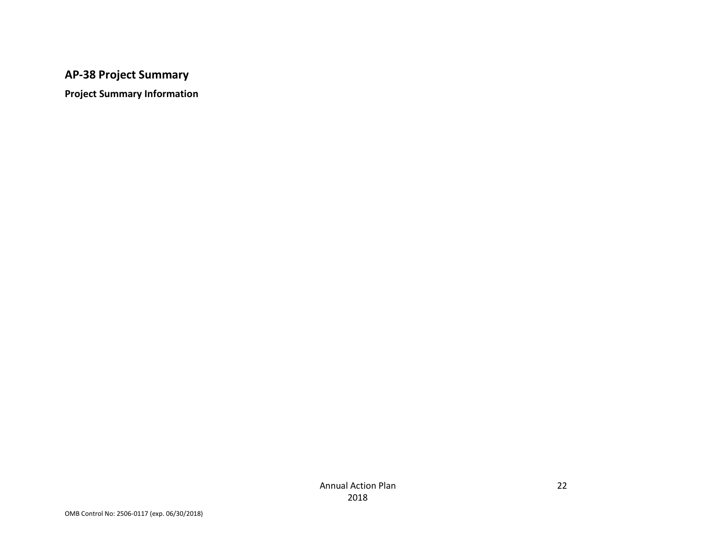# AP-38 Project Summary

Project Summary Information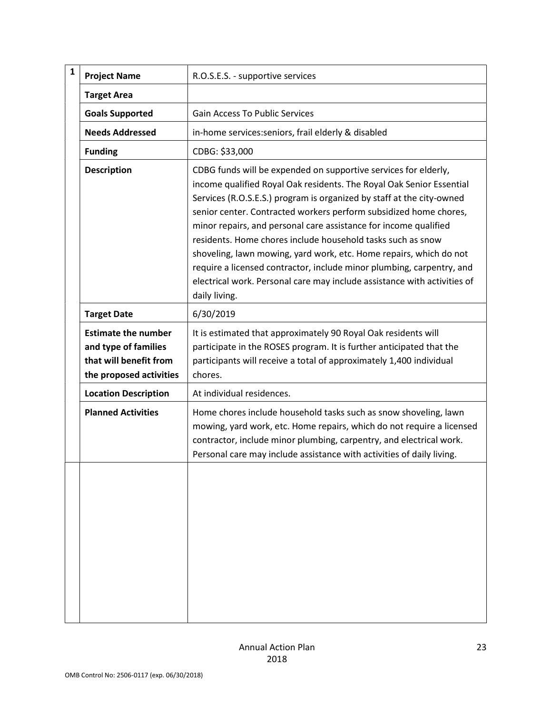| $\mathbf{1}$ | <b>Project Name</b>                                                                                     | R.O.S.E.S. - supportive services                                                                                                                                                                                                                                                                                                                                                                                                                                                                                                                                                                                                                                     |
|--------------|---------------------------------------------------------------------------------------------------------|----------------------------------------------------------------------------------------------------------------------------------------------------------------------------------------------------------------------------------------------------------------------------------------------------------------------------------------------------------------------------------------------------------------------------------------------------------------------------------------------------------------------------------------------------------------------------------------------------------------------------------------------------------------------|
|              | <b>Target Area</b>                                                                                      |                                                                                                                                                                                                                                                                                                                                                                                                                                                                                                                                                                                                                                                                      |
|              | <b>Goals Supported</b>                                                                                  | <b>Gain Access To Public Services</b>                                                                                                                                                                                                                                                                                                                                                                                                                                                                                                                                                                                                                                |
|              | <b>Needs Addressed</b>                                                                                  | in-home services: seniors, frail elderly & disabled                                                                                                                                                                                                                                                                                                                                                                                                                                                                                                                                                                                                                  |
|              | <b>Funding</b>                                                                                          | CDBG: \$33,000                                                                                                                                                                                                                                                                                                                                                                                                                                                                                                                                                                                                                                                       |
|              | <b>Description</b>                                                                                      | CDBG funds will be expended on supportive services for elderly,<br>income qualified Royal Oak residents. The Royal Oak Senior Essential<br>Services (R.O.S.E.S.) program is organized by staff at the city-owned<br>senior center. Contracted workers perform subsidized home chores,<br>minor repairs, and personal care assistance for income qualified<br>residents. Home chores include household tasks such as snow<br>shoveling, lawn mowing, yard work, etc. Home repairs, which do not<br>require a licensed contractor, include minor plumbing, carpentry, and<br>electrical work. Personal care may include assistance with activities of<br>daily living. |
|              | <b>Target Date</b>                                                                                      | 6/30/2019                                                                                                                                                                                                                                                                                                                                                                                                                                                                                                                                                                                                                                                            |
|              | <b>Estimate the number</b><br>and type of families<br>that will benefit from<br>the proposed activities | It is estimated that approximately 90 Royal Oak residents will<br>participate in the ROSES program. It is further anticipated that the<br>participants will receive a total of approximately 1,400 individual<br>chores.                                                                                                                                                                                                                                                                                                                                                                                                                                             |
|              | <b>Location Description</b>                                                                             | At individual residences.                                                                                                                                                                                                                                                                                                                                                                                                                                                                                                                                                                                                                                            |
|              | <b>Planned Activities</b>                                                                               | Home chores include household tasks such as snow shoveling, lawn<br>mowing, yard work, etc. Home repairs, which do not require a licensed<br>contractor, include minor plumbing, carpentry, and electrical work.<br>Personal care may include assistance with activities of daily living.                                                                                                                                                                                                                                                                                                                                                                            |
|              |                                                                                                         |                                                                                                                                                                                                                                                                                                                                                                                                                                                                                                                                                                                                                                                                      |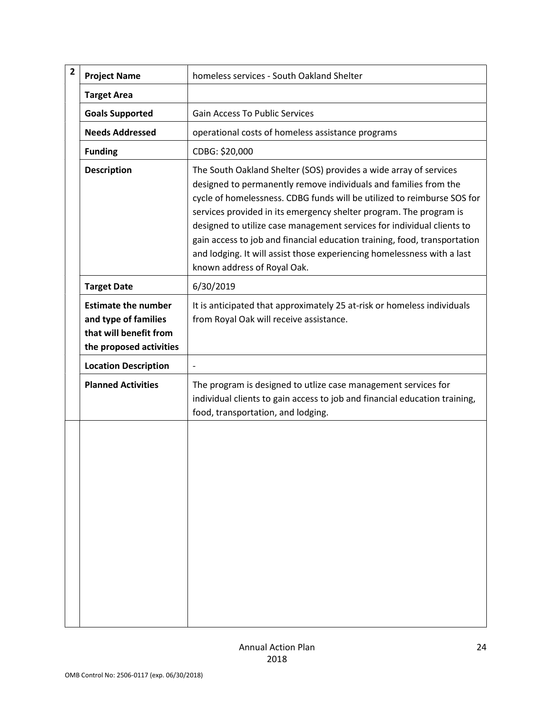| $\overline{\mathbf{2}}$ | <b>Project Name</b>                                                                                     | homeless services - South Oakland Shelter                                                                                                                                                                                                                                                                                                                                                                                                                                                                                                               |
|-------------------------|---------------------------------------------------------------------------------------------------------|---------------------------------------------------------------------------------------------------------------------------------------------------------------------------------------------------------------------------------------------------------------------------------------------------------------------------------------------------------------------------------------------------------------------------------------------------------------------------------------------------------------------------------------------------------|
|                         | <b>Target Area</b>                                                                                      |                                                                                                                                                                                                                                                                                                                                                                                                                                                                                                                                                         |
|                         | <b>Goals Supported</b>                                                                                  | <b>Gain Access To Public Services</b>                                                                                                                                                                                                                                                                                                                                                                                                                                                                                                                   |
|                         | <b>Needs Addressed</b>                                                                                  | operational costs of homeless assistance programs                                                                                                                                                                                                                                                                                                                                                                                                                                                                                                       |
|                         | <b>Funding</b>                                                                                          | CDBG: \$20,000                                                                                                                                                                                                                                                                                                                                                                                                                                                                                                                                          |
|                         | <b>Description</b>                                                                                      | The South Oakland Shelter (SOS) provides a wide array of services<br>designed to permanently remove individuals and families from the<br>cycle of homelessness. CDBG funds will be utilized to reimburse SOS for<br>services provided in its emergency shelter program. The program is<br>designed to utilize case management services for individual clients to<br>gain access to job and financial education training, food, transportation<br>and lodging. It will assist those experiencing homelessness with a last<br>known address of Royal Oak. |
|                         | <b>Target Date</b>                                                                                      | 6/30/2019                                                                                                                                                                                                                                                                                                                                                                                                                                                                                                                                               |
|                         | <b>Estimate the number</b><br>and type of families<br>that will benefit from<br>the proposed activities | It is anticipated that approximately 25 at-risk or homeless individuals<br>from Royal Oak will receive assistance.                                                                                                                                                                                                                                                                                                                                                                                                                                      |
|                         | <b>Location Description</b>                                                                             |                                                                                                                                                                                                                                                                                                                                                                                                                                                                                                                                                         |
|                         | <b>Planned Activities</b>                                                                               | The program is designed to utlize case management services for<br>individual clients to gain access to job and financial education training,<br>food, transportation, and lodging.                                                                                                                                                                                                                                                                                                                                                                      |
|                         |                                                                                                         |                                                                                                                                                                                                                                                                                                                                                                                                                                                                                                                                                         |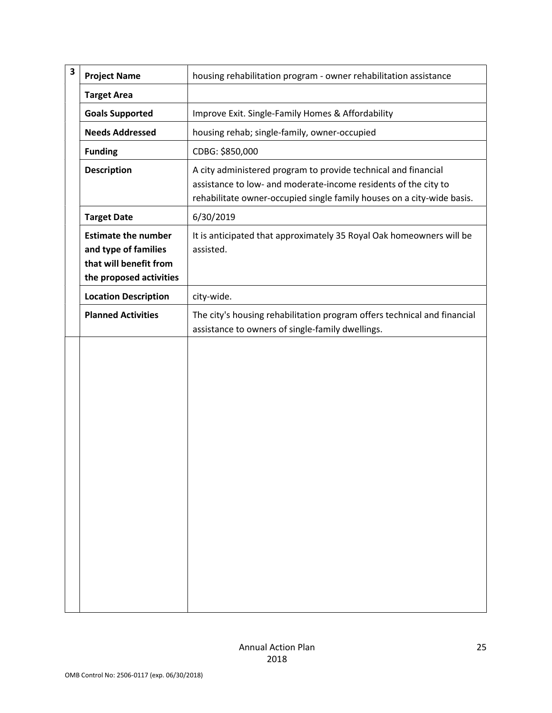| 3 | <b>Project Name</b>                                                                                     | housing rehabilitation program - owner rehabilitation assistance                                                                                                                                            |
|---|---------------------------------------------------------------------------------------------------------|-------------------------------------------------------------------------------------------------------------------------------------------------------------------------------------------------------------|
|   | <b>Target Area</b>                                                                                      |                                                                                                                                                                                                             |
|   | <b>Goals Supported</b>                                                                                  | Improve Exit. Single-Family Homes & Affordability                                                                                                                                                           |
|   | <b>Needs Addressed</b>                                                                                  | housing rehab; single-family, owner-occupied                                                                                                                                                                |
|   | <b>Funding</b>                                                                                          | CDBG: \$850,000                                                                                                                                                                                             |
|   | <b>Description</b>                                                                                      | A city administered program to provide technical and financial<br>assistance to low- and moderate-income residents of the city to<br>rehabilitate owner-occupied single family houses on a city-wide basis. |
|   | <b>Target Date</b>                                                                                      | 6/30/2019                                                                                                                                                                                                   |
|   | <b>Estimate the number</b><br>and type of families<br>that will benefit from<br>the proposed activities | It is anticipated that approximately 35 Royal Oak homeowners will be<br>assisted.                                                                                                                           |
|   | <b>Location Description</b>                                                                             | city-wide.                                                                                                                                                                                                  |
|   | <b>Planned Activities</b>                                                                               | The city's housing rehabilitation program offers technical and financial<br>assistance to owners of single-family dwellings.                                                                                |
|   |                                                                                                         |                                                                                                                                                                                                             |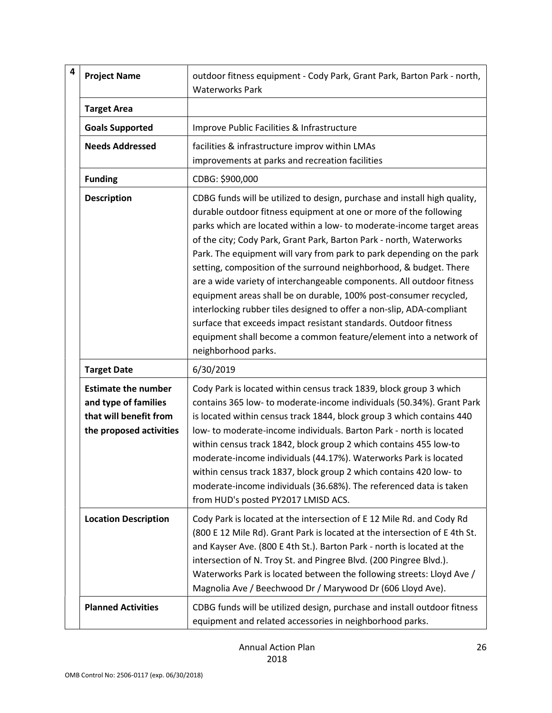| 4 | <b>Project Name</b>                                                                                     | outdoor fitness equipment - Cody Park, Grant Park, Barton Park - north,<br><b>Waterworks Park</b>                                                                                                                                                                                                                                                                                                                                                                                                                                                                                                                                                                                                                                                                                                                                    |
|---|---------------------------------------------------------------------------------------------------------|--------------------------------------------------------------------------------------------------------------------------------------------------------------------------------------------------------------------------------------------------------------------------------------------------------------------------------------------------------------------------------------------------------------------------------------------------------------------------------------------------------------------------------------------------------------------------------------------------------------------------------------------------------------------------------------------------------------------------------------------------------------------------------------------------------------------------------------|
|   | <b>Target Area</b>                                                                                      |                                                                                                                                                                                                                                                                                                                                                                                                                                                                                                                                                                                                                                                                                                                                                                                                                                      |
|   | <b>Goals Supported</b>                                                                                  | Improve Public Facilities & Infrastructure                                                                                                                                                                                                                                                                                                                                                                                                                                                                                                                                                                                                                                                                                                                                                                                           |
|   | <b>Needs Addressed</b>                                                                                  | facilities & infrastructure improv within LMAs<br>improvements at parks and recreation facilities                                                                                                                                                                                                                                                                                                                                                                                                                                                                                                                                                                                                                                                                                                                                    |
|   | <b>Funding</b>                                                                                          | CDBG: \$900,000                                                                                                                                                                                                                                                                                                                                                                                                                                                                                                                                                                                                                                                                                                                                                                                                                      |
|   | <b>Description</b>                                                                                      | CDBG funds will be utilized to design, purchase and install high quality,<br>durable outdoor fitness equipment at one or more of the following<br>parks which are located within a low- to moderate-income target areas<br>of the city; Cody Park, Grant Park, Barton Park - north, Waterworks<br>Park. The equipment will vary from park to park depending on the park<br>setting, composition of the surround neighborhood, & budget. There<br>are a wide variety of interchangeable components. All outdoor fitness<br>equipment areas shall be on durable, 100% post-consumer recycled,<br>interlocking rubber tiles designed to offer a non-slip, ADA-compliant<br>surface that exceeds impact resistant standards. Outdoor fitness<br>equipment shall become a common feature/element into a network of<br>neighborhood parks. |
|   | <b>Target Date</b>                                                                                      | 6/30/2019                                                                                                                                                                                                                                                                                                                                                                                                                                                                                                                                                                                                                                                                                                                                                                                                                            |
|   | <b>Estimate the number</b><br>and type of families<br>that will benefit from<br>the proposed activities | Cody Park is located within census track 1839, block group 3 which<br>contains 365 low- to moderate-income individuals (50.34%). Grant Park<br>is located within census track 1844, block group 3 which contains 440<br>low- to moderate-income individuals. Barton Park - north is located<br>within census track 1842, block group 2 which contains 455 low-to<br>moderate-income individuals (44.17%). Waterworks Park is located<br>within census track 1837, block group 2 which contains 420 low- to<br>moderate-income individuals (36.68%). The referenced data is taken<br>from HUD's posted PY2017 LMISD ACS.                                                                                                                                                                                                              |
|   | <b>Location Description</b>                                                                             | Cody Park is located at the intersection of E 12 Mile Rd. and Cody Rd<br>(800 E 12 Mile Rd). Grant Park is located at the intersection of E 4th St.<br>and Kayser Ave. (800 E 4th St.). Barton Park - north is located at the<br>intersection of N. Troy St. and Pingree Blvd. (200 Pingree Blvd.).<br>Waterworks Park is located between the following streets: Lloyd Ave /<br>Magnolia Ave / Beechwood Dr / Marywood Dr (606 Lloyd Ave).                                                                                                                                                                                                                                                                                                                                                                                           |
|   | <b>Planned Activities</b>                                                                               | CDBG funds will be utilized design, purchase and install outdoor fitness<br>equipment and related accessories in neighborhood parks.                                                                                                                                                                                                                                                                                                                                                                                                                                                                                                                                                                                                                                                                                                 |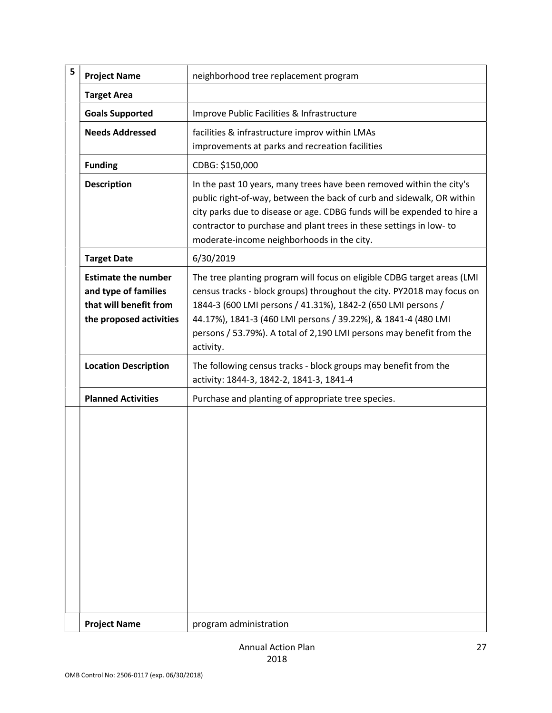| 5 | <b>Project Name</b>                                                                                     | neighborhood tree replacement program                                                                                                                                                                                                                                                                                                                                   |
|---|---------------------------------------------------------------------------------------------------------|-------------------------------------------------------------------------------------------------------------------------------------------------------------------------------------------------------------------------------------------------------------------------------------------------------------------------------------------------------------------------|
|   | <b>Target Area</b>                                                                                      |                                                                                                                                                                                                                                                                                                                                                                         |
|   | <b>Goals Supported</b>                                                                                  | Improve Public Facilities & Infrastructure                                                                                                                                                                                                                                                                                                                              |
|   | <b>Needs Addressed</b>                                                                                  | facilities & infrastructure improv within LMAs<br>improvements at parks and recreation facilities                                                                                                                                                                                                                                                                       |
|   | <b>Funding</b>                                                                                          | CDBG: \$150,000                                                                                                                                                                                                                                                                                                                                                         |
|   | <b>Description</b>                                                                                      | In the past 10 years, many trees have been removed within the city's<br>public right-of-way, between the back of curb and sidewalk, OR within<br>city parks due to disease or age. CDBG funds will be expended to hire a<br>contractor to purchase and plant trees in these settings in low- to<br>moderate-income neighborhoods in the city.                           |
|   | <b>Target Date</b>                                                                                      | 6/30/2019                                                                                                                                                                                                                                                                                                                                                               |
|   | <b>Estimate the number</b><br>and type of families<br>that will benefit from<br>the proposed activities | The tree planting program will focus on eligible CDBG target areas (LMI<br>census tracks - block groups) throughout the city. PY2018 may focus on<br>1844-3 (600 LMI persons / 41.31%), 1842-2 (650 LMI persons /<br>44.17%), 1841-3 (460 LMI persons / 39.22%), & 1841-4 (480 LMI<br>persons / 53.79%). A total of 2,190 LMI persons may benefit from the<br>activity. |
|   | <b>Location Description</b>                                                                             | The following census tracks - block groups may benefit from the<br>activity: 1844-3, 1842-2, 1841-3, 1841-4                                                                                                                                                                                                                                                             |
|   | <b>Planned Activities</b>                                                                               | Purchase and planting of appropriate tree species.                                                                                                                                                                                                                                                                                                                      |
|   |                                                                                                         |                                                                                                                                                                                                                                                                                                                                                                         |
|   | <b>Project Name</b>                                                                                     | program administration                                                                                                                                                                                                                                                                                                                                                  |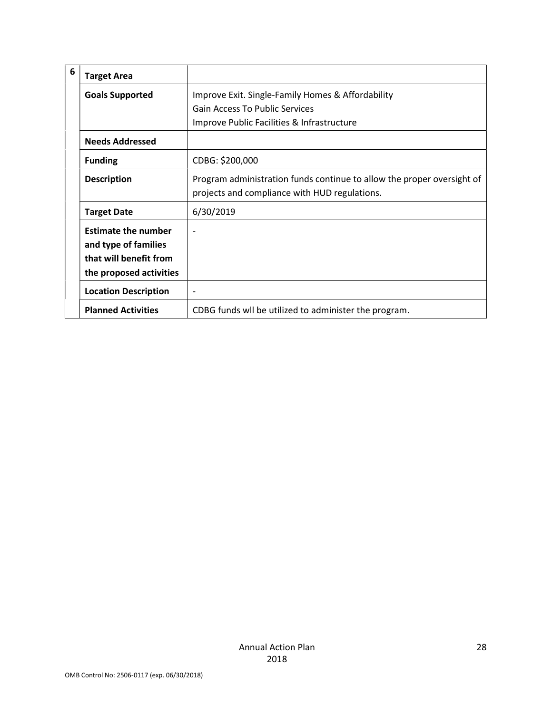| 6 | <b>Target Area</b>                                                                                      |                                                                                                                         |
|---|---------------------------------------------------------------------------------------------------------|-------------------------------------------------------------------------------------------------------------------------|
|   | <b>Goals Supported</b>                                                                                  | Improve Exit. Single-Family Homes & Affordability                                                                       |
|   |                                                                                                         | <b>Gain Access To Public Services</b>                                                                                   |
|   |                                                                                                         | Improve Public Facilities & Infrastructure                                                                              |
|   | <b>Needs Addressed</b>                                                                                  |                                                                                                                         |
|   | <b>Funding</b>                                                                                          | CDBG: \$200,000                                                                                                         |
|   | <b>Description</b>                                                                                      | Program administration funds continue to allow the proper oversight of<br>projects and compliance with HUD regulations. |
|   | <b>Target Date</b>                                                                                      | 6/30/2019                                                                                                               |
|   | <b>Estimate the number</b><br>and type of families<br>that will benefit from<br>the proposed activities | $\overline{\phantom{0}}$                                                                                                |
|   | <b>Location Description</b>                                                                             |                                                                                                                         |
|   | <b>Planned Activities</b>                                                                               | CDBG funds wil be utilized to administer the program.                                                                   |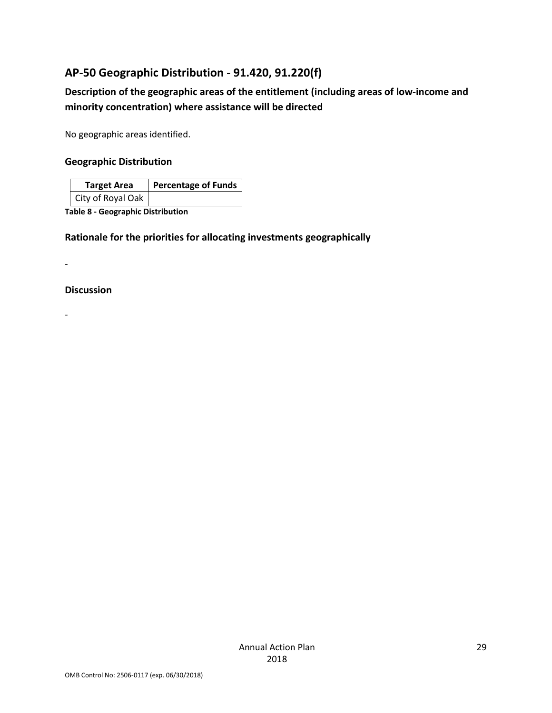# AP-50 Geographic Distribution - 91.420, 91.220(f)

# Description of the geographic areas of the entitlement (including areas of low-income and minority concentration) where assistance will be directed

No geographic areas identified.

#### Geographic Distribution

| <b>Target Area</b> | <b>Percentage of Funds</b> |
|--------------------|----------------------------|
| City of Royal Oak  |                            |

Table 8 - Geographic Distribution

## Rationale for the priorities for allocating investments geographically

-

#### Discussion

-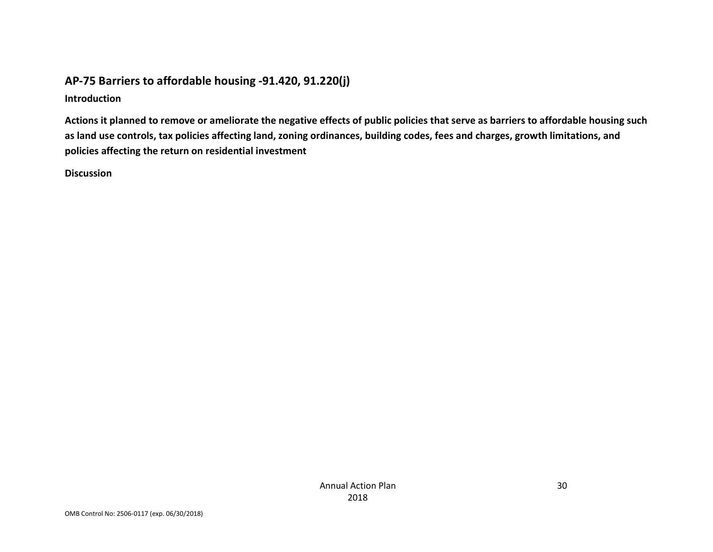# AP-75 Barriers to affordable housing -91.420, 91.220(j)

Introduction

Actions it planned to remove or ameliorate the negative effects of public policies that serve as barriers to affordable housing such as land use controls, tax policies affecting land, zoning ordinances, building codes, fees and charges, growth limitations, and policies affecting the return on residential investment

Discussion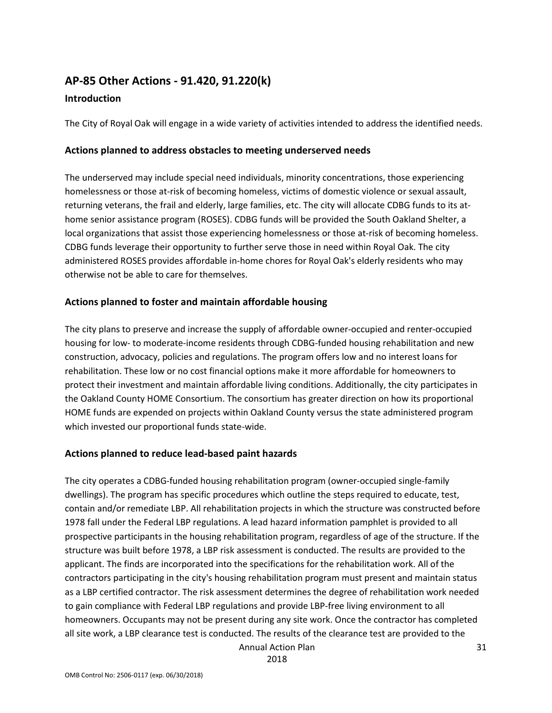# AP-85 Other Actions - 91.420, 91.220(k)

# Introduction

The City of Royal Oak will engage in a wide variety of activities intended to address the identified needs.

#### Actions planned to address obstacles to meeting underserved needs

The underserved may include special need individuals, minority concentrations, those experiencing homelessness or those at-risk of becoming homeless, victims of domestic violence or sexual assault, returning veterans, the frail and elderly, large families, etc. The city will allocate CDBG funds to its athome senior assistance program (ROSES). CDBG funds will be provided the South Oakland Shelter, a local organizations that assist those experiencing homelessness or those at-risk of becoming homeless. CDBG funds leverage their opportunity to further serve those in need within Royal Oak. The city administered ROSES provides affordable in-home chores for Royal Oak's elderly residents who may otherwise not be able to care for themselves.

#### Actions planned to foster and maintain affordable housing

The city plans to preserve and increase the supply of affordable owner-occupied and renter-occupied housing for low- to moderate-income residents through CDBG-funded housing rehabilitation and new construction, advocacy, policies and regulations. The program offers low and no interest loans for rehabilitation. These low or no cost financial options make it more affordable for homeowners to protect their investment and maintain affordable living conditions. Additionally, the city participates in the Oakland County HOME Consortium. The consortium has greater direction on how its proportional HOME funds are expended on projects within Oakland County versus the state administered program which invested our proportional funds state-wide.

#### Actions planned to reduce lead-based paint hazards

The city operates a CDBG-funded housing rehabilitation program (owner-occupied single-family dwellings). The program has specific procedures which outline the steps required to educate, test, contain and/or remediate LBP. All rehabilitation projects in which the structure was constructed before 1978 fall under the Federal LBP regulations. A lead hazard information pamphlet is provided to all prospective participants in the housing rehabilitation program, regardless of age of the structure. If the structure was built before 1978, a LBP risk assessment is conducted. The results are provided to the applicant. The finds are incorporated into the specifications for the rehabilitation work. All of the contractors participating in the city's housing rehabilitation program must present and maintain status as a LBP certified contractor. The risk assessment determines the degree of rehabilitation work needed to gain compliance with Federal LBP regulations and provide LBP-free living environment to all homeowners. Occupants may not be present during any site work. Once the contractor has completed all site work, a LBP clearance test is conducted. The results of the clearance test are provided to the

Annual Action Plan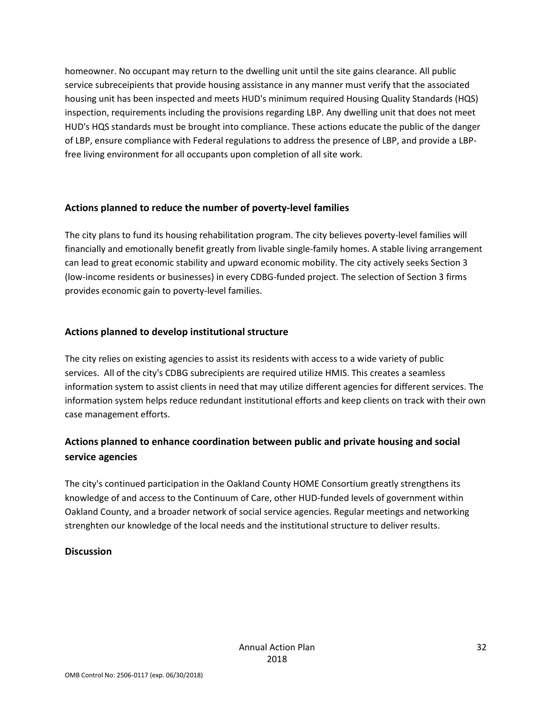homeowner. No occupant may return to the dwelling unit until the site gains clearance. All public service subreceipients that provide housing assistance in any manner must verify that the associated housing unit has been inspected and meets HUD's minimum required Housing Quality Standards (HQS) inspection, requirements including the provisions regarding LBP. Any dwelling unit that does not meet HUD's HQS standards must be brought into compliance. These actions educate the public of the danger of LBP, ensure compliance with Federal regulations to address the presence of LBP, and provide a LBPfree living environment for all occupants upon completion of all site work.

## Actions planned to reduce the number of poverty-level families

The city plans to fund its housing rehabilitation program. The city believes poverty-level families will financially and emotionally benefit greatly from livable single-family homes. A stable living arrangement can lead to great economic stability and upward economic mobility. The city actively seeks Section 3 (low-income residents or businesses) in every CDBG-funded project. The selection of Section 3 firms provides economic gain to poverty-level families.

## Actions planned to develop institutional structure

The city relies on existing agencies to assist its residents with access to a wide variety of public services. All of the city's CDBG subrecipients are required utilize HMIS. This creates a seamless information system to assist clients in need that may utilize different agencies for different services. The information system helps reduce redundant institutional efforts and keep clients on track with their own case management efforts.

# Actions planned to enhance coordination between public and private housing and social service agencies

The city's continued participation in the Oakland County HOME Consortium greatly strengthens its knowledge of and access to the Continuum of Care, other HUD-funded levels of government within Oakland County, and a broader network of social service agencies. Regular meetings and networking strenghten our knowledge of the local needs and the institutional structure to deliver results.

## **Discussion**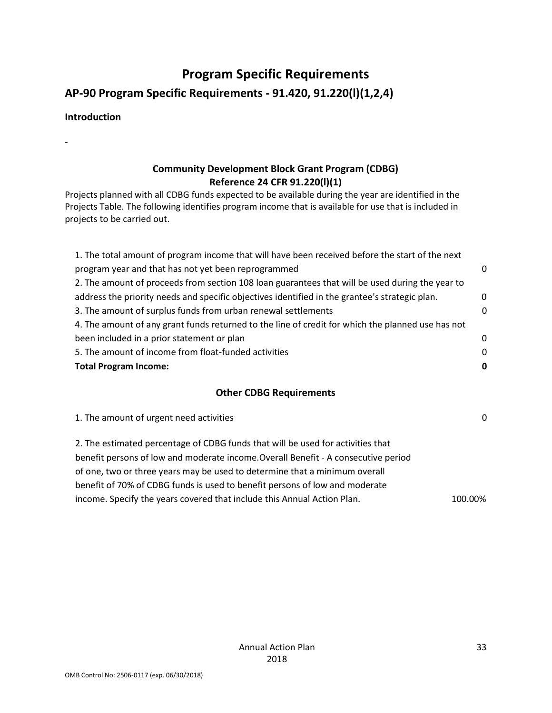# Program Specific Requirements

AP-90 Program Specific Requirements - 91.420, 91.220(l)(1,2,4)

## Introduction

-

# Community Development Block Grant Program (CDBG) Reference 24 CFR 91.220(l)(1)

Projects planned with all CDBG funds expected to be available during the year are identified in the Projects Table. The following identifies program income that is available for use that is included in projects to be carried out.

| 1. The total amount of program income that will have been received before the start of the next   |   |
|---------------------------------------------------------------------------------------------------|---|
| program year and that has not yet been reprogrammed                                               | 0 |
| 2. The amount of proceeds from section 108 loan guarantees that will be used during the year to   |   |
| address the priority needs and specific objectives identified in the grantee's strategic plan.    | 0 |
| 3. The amount of surplus funds from urban renewal settlements                                     | 0 |
| 4. The amount of any grant funds returned to the line of credit for which the planned use has not |   |
| been included in a prior statement or plan                                                        | 0 |
| 5. The amount of income from float-funded activities                                              | 0 |
| <b>Total Program Income:</b>                                                                      | 0 |
|                                                                                                   |   |

#### Other CDBG Requirements

1. The amount of urgent need activities 0 2. The estimated percentage of CDBG funds that will be used for activities that benefit persons of low and moderate income.Overall Benefit - A consecutive period of one, two or three years may be used to determine that a minimum overall benefit of 70% of CDBG funds is used to benefit persons of low and moderate income. Specify the years covered that include this Annual Action Plan. 100.00%